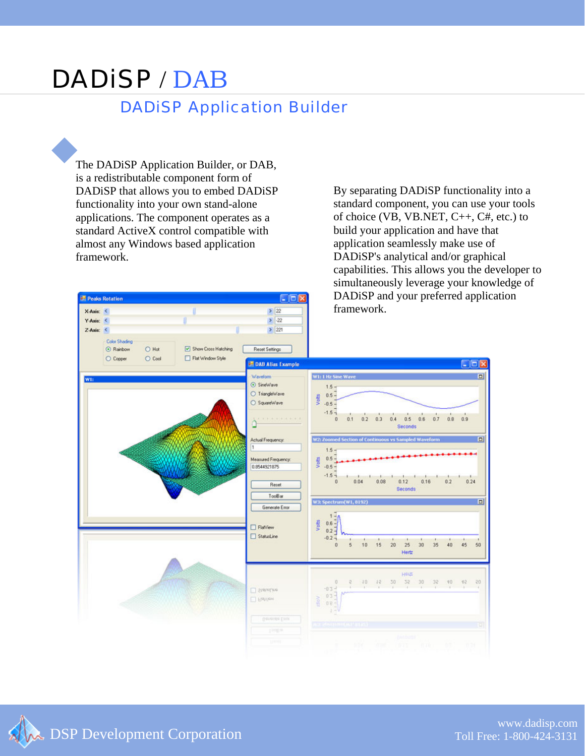## DADiSP / DAB DADiSP Application Builder

The DADiSP Application Builder, or DAB, is a redistributable component form of DADiSP that allows you to embed DADiSP functionality into your own stand-alone applications. The component operates as a standard ActiveX control compatible with almost any Windows based application framework.

Peaks Rotation

By separating DADiSP functionality into a standard component, you can use your tools of choice (VB, VB.NET,  $C_{++}$ ,  $C_{+}$ , etc.) to build your application and have that application seamlessly make use of DADiSP's analytical and/or graphical capabilities. This allows you the developer to simultaneously leverage your knowledge of DADiSP and your preferred application framework.



CIEIX